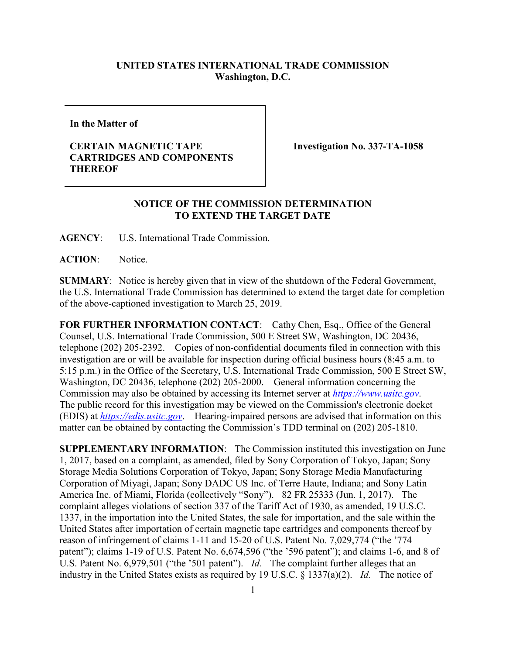## **UNITED STATES INTERNATIONAL TRADE COMMISSION Washington, D.C.**

**In the Matter of**

## **CERTAIN MAGNETIC TAPE CARTRIDGES AND COMPONENTS THEREOF**

**Investigation No. 337-TA-1058**

## **NOTICE OF THE COMMISSION DETERMINATION TO EXTEND THE TARGET DATE**

**AGENCY**: U.S. International Trade Commission.

**ACTION**: Notice.

**SUMMARY**: Notice is hereby given that in view of the shutdown of the Federal Government, the U.S. International Trade Commission has determined to extend the target date for completion of the above-captioned investigation to March 25, 2019.

**FOR FURTHER INFORMATION CONTACT**: Cathy Chen, Esq., Office of the General Counsel, U.S. International Trade Commission, 500 E Street SW, Washington, DC 20436, telephone (202) 205-2392. Copies of non-confidential documents filed in connection with this investigation are or will be available for inspection during official business hours (8:45 a.m. to 5:15 p.m.) in the Office of the Secretary, U.S. International Trade Commission, 500 E Street SW, Washington, DC 20436, telephone (202) 205-2000. General information concerning the Commission may also be obtained by accessing its Internet server at *[https://www.usitc.gov](https://www.usitc.gov/)*. The public record for this investigation may be viewed on the Commission's electronic docket (EDIS) at *[https://edis.usitc.gov](https://edis.usitc.gov/)*. Hearing-impaired persons are advised that information on this matter can be obtained by contacting the Commission's TDD terminal on (202) 205-1810.

**SUPPLEMENTARY INFORMATION**: The Commission instituted this investigation on June 1, 2017, based on a complaint, as amended, filed by Sony Corporation of Tokyo, Japan; Sony Storage Media Solutions Corporation of Tokyo, Japan; Sony Storage Media Manufacturing Corporation of Miyagi, Japan; Sony DADC US Inc. of Terre Haute, Indiana; and Sony Latin America Inc. of Miami, Florida (collectively "Sony"). 82 FR 25333 (Jun. 1, 2017). The complaint alleges violations of section 337 of the Tariff Act of 1930, as amended, 19 U.S.C. 1337, in the importation into the United States, the sale for importation, and the sale within the United States after importation of certain magnetic tape cartridges and components thereof by reason of infringement of claims 1-11 and 15-20 of U.S. Patent No. 7,029,774 ("the '774 patent"); claims 1-19 of U.S. Patent No. 6,674,596 ("the '596 patent"); and claims 1-6, and 8 of U.S. Patent No. 6,979,501 ("the '501 patent"). *Id.* The complaint further alleges that an industry in the United States exists as required by 19 U.S.C. § 1337(a)(2). *Id.* The notice of